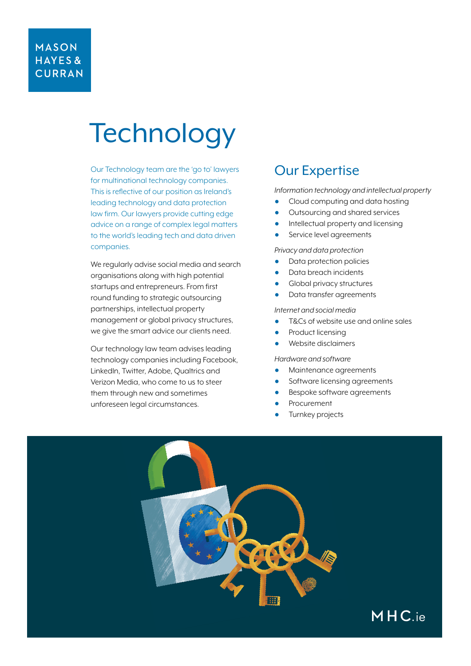## **MASON** HAYES& **CURRAN**

# **Technology**

Our [Technology team](https://www.mhc.ie/expertise/technology) are the 'go to' lawyers for multinational technology companies. This is reflective of our position as Ireland's leading technology and data protection law firm. Our lawyers provide cutting edge advice on a range of complex legal matters to the world's leading tech and data driven companies.

We regularly advise social media and search organisations along with high potential startups and entrepreneurs. From first round funding to strategic outsourcing partnerships, intellectual property management or global privacy structures, we give the smart advice our clients need.

Our technology law team advises leading technology companies including Facebook, LinkedIn, Twitter, Adobe, Qualtrics and Verizon Media, who come to us to steer them through new and sometimes unforeseen legal circumstances.

# Our Expertise

*Information technology and intellectual property*

- Cloud computing and data hosting
- Outsourcing and shared services
- Intellectual property and licensing
- Service level agreements

*Privacy and data protection*

- Data protection policies
- Data breach incidents
- **Global privacy structures**
- Data transfer agreements

#### *Internet and social media*

- T&Cs of website use and online sales
- Product licensing
- Website disclaimers

#### *Hardware and software*

- Maintenance agreements
- Software licensing agreements
- Bespoke software agreements
- Procurement
- Turnkey projects